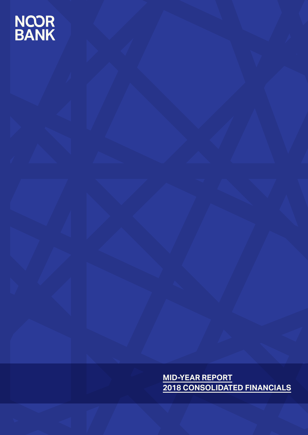# NCOR<br>BANK

**MID-YEAR REPORT 2018 CONSOLIDATED FINANCIALS**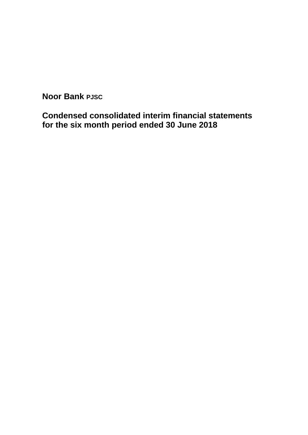**Condensed consolidated interim financial statements for the six month period ended 30 June 2018**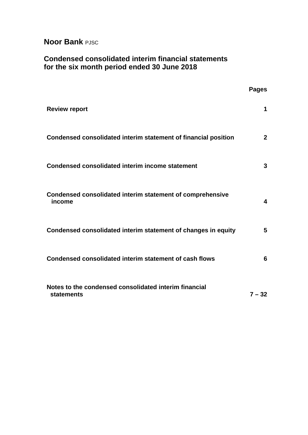# **Condensed consolidated interim financial statements for the six month period ended 30 June 2018**

|                                                                            | <b>Pages</b>            |
|----------------------------------------------------------------------------|-------------------------|
| <b>Review report</b>                                                       | 1                       |
| Condensed consolidated interim statement of financial position             | $\mathbf{2}$            |
| <b>Condensed consolidated interim income statement</b>                     | 3                       |
| Condensed consolidated interim statement of comprehensive<br>income        | $\overline{\mathbf{4}}$ |
| Condensed consolidated interim statement of changes in equity              | 5                       |
| Condensed consolidated interim statement of cash flows                     | 6                       |
| Notes to the condensed consolidated interim financial<br><b>statements</b> | $7 - 32$                |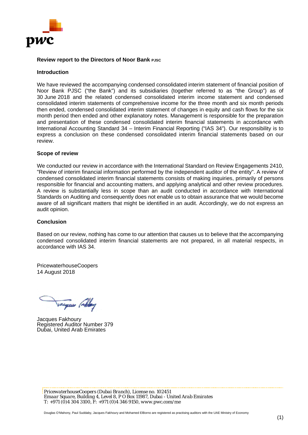

#### **Review report to the Directors of Noor Bank PJSC**

#### **Introduction**

We have reviewed the accompanying condensed consolidated interim statement of financial position of Noor Bank PJSC ("the Bank") and its subsidiaries (together referred to as "the Group") as of 30 June 2018 and the related condensed consolidated interim income statement and condensed consolidated interim statements of comprehensive income for the three month and six month periods then ended, condensed consolidated interim statement of changes in equity and cash flows for the six month period then ended and other explanatory notes. Management is responsible for the preparation and presentation of these condensed consolidated interim financial statements in accordance with International Accounting Standard 34 – Interim Financial Reporting ("IAS 34"). Our responsibility is to express a conclusion on these condensed consolidated interim financial statements based on our review.

#### **Scope of review**

We conducted our review in accordance with the International Standard on Review Engagements 2410, "Review of interim financial information performed by the independent auditor of the entity". A review of condensed consolidated interim financial statements consists of making inquiries, primarily of persons responsible for financial and accounting matters, and applying analytical and other review procedures. A review is substantially less in scope than an audit conducted in accordance with International Standards on Auditing and consequently does not enable us to obtain assurance that we would become aware of all significant matters that might be identified in an audit. Accordingly, we do not express an audit opinion.

#### **Conclusion**

Based on our review, nothing has come to our attention that causes us to believe that the accompanying condensed consolidated interim financial statements are not prepared, in all material respects, in accordance with IAS 34.

PricewaterhouseCoopers 14 August 2018

Vacques (whitey

Jacques Fakhoury Registered Auditor Number 379 Dubai, United Arab Emirates

*PricewaterhouseCoopers (Dubai Branch), License no. 102451 Emaar Square, Building 4, Level 8, P O Box 11987, Dubai - United Arab Emirates T: +971 (0)4 304 3100, F: +971 (0)4 346 9150, www.pwc.com/me*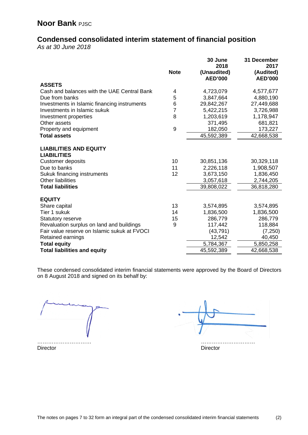# **Condensed consolidated interim statement of financial position**

*As at 30 June 2018*

|                                                     |                | 30 June<br>2018               | 31 December<br>2017         |
|-----------------------------------------------------|----------------|-------------------------------|-----------------------------|
|                                                     | <b>Note</b>    | (Unaudited)<br><b>AED'000</b> | (Audited)<br><b>AED'000</b> |
| <b>ASSETS</b>                                       |                |                               |                             |
| Cash and balances with the UAE Central Bank         | 4              | 4,723,079                     | 4,577,677                   |
| Due from banks                                      | 5              | 3,847,664                     | 4,880,190                   |
| Investments in Islamic financing instruments        | 6              | 29,842,267                    | 27,449,688                  |
| Investments in Islamic sukuk                        | $\overline{7}$ | 5,422,215                     | 3,726,988                   |
| Investment properties                               | 8              | 1,203,619                     | 1,178,947                   |
| Other assets                                        |                | 371,495                       | 681,821                     |
| Property and equipment                              | 9              | 182,050                       | 173,227                     |
| <b>Total assets</b>                                 |                | 45,592,389                    | 42,668,538                  |
|                                                     |                |                               |                             |
| <b>LIABILITIES AND EQUITY</b><br><b>LIABILITIES</b> |                |                               |                             |
| <b>Customer deposits</b>                            | 10             | 30,851,136                    | 30,329,118                  |
| Due to banks                                        | 11             | 2,226,118                     | 1,908,507                   |
| Sukuk financing instruments                         | 12             | 3,673,150                     | 1,836,450                   |
| <b>Other liabilities</b>                            |                | 3,057,618                     | 2,744,205                   |
| <b>Total liabilities</b>                            |                | 39,808,022                    | 36,818,280                  |
|                                                     |                |                               |                             |
| <b>EQUITY</b>                                       |                |                               |                             |
| Share capital                                       | 13             | 3,574,895                     | 3,574,895                   |
| Tier 1 sukuk                                        | 14             | 1,836,500                     | 1,836,500                   |
| <b>Statutory reserve</b>                            | 15             | 286,779                       | 286,779                     |
| Revaluation surplus on land and buildings           | 9              | 117,442                       | 118,884                     |
| Fair value reserve on Islamic sukuk at FVOCI        |                | (43, 791)                     | (7, 250)                    |
| Retained earnings                                   |                | 12,542                        | 40,450                      |
| <b>Total equity</b>                                 |                | 5,784,367                     | 5,850,258                   |
| <b>Total liabilities and equity</b>                 |                | 45,592,389                    | 42,668,538                  |

These condensed consolidated interim financial statements were approved by the Board of Directors on 8 August 2018 and signed on its behalf by:

………………………… …………………………

Director Director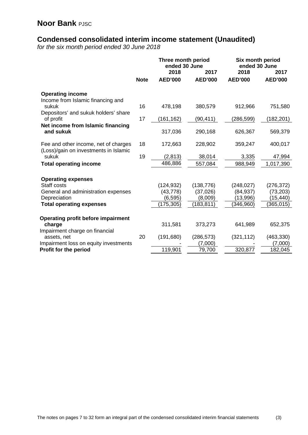# **Condensed consolidated interim income statement (Unaudited)**

*for the six month period ended 30 June 2018*

|                                                                               |             | Three month period<br>ended 30 June<br>2018<br>2017 |                | Six month period<br>ended 30 June<br>2018 | 2017           |
|-------------------------------------------------------------------------------|-------------|-----------------------------------------------------|----------------|-------------------------------------------|----------------|
|                                                                               | <b>Note</b> | <b>AED'000</b>                                      | <b>AED'000</b> | <b>AED'000</b>                            | <b>AED'000</b> |
| <b>Operating income</b><br>Income from Islamic financing and                  |             |                                                     |                |                                           |                |
| sukuk                                                                         | 16          | 478,198                                             | 380,579        | 912,966                                   | 751,580        |
| Depositors' and sukuk holders' share<br>of profit                             | 17          | (161, 162)                                          | (90, 411)      | (286, 599)                                | (182,201)      |
| Net income from Islamic financing<br>and sukuk                                |             | 317,036                                             | 290,168        | 626,367                                   | 569,379        |
| Fee and other income, net of charges<br>(Loss)/gain on investments in Islamic | 18          | 172,663                                             | 228,902        | 359,247                                   | 400,017        |
| sukuk                                                                         | 19          | (2, 813)                                            | 38,014         | 3,335                                     | 47,994         |
| <b>Total operating income</b>                                                 |             | 486,886                                             | 557,084        | 988,949                                   | 1,017,390      |
| <b>Operating expenses</b>                                                     |             |                                                     |                |                                           |                |
| Staff costs                                                                   |             | (124, 932)                                          | (138, 776)     | (248, 027)                                | (276, 372)     |
| General and administration expenses                                           |             | (43, 778)                                           | (37,026)       | (84, 937)                                 | (73, 203)      |
| Depreciation                                                                  |             | (6, 595)                                            | (8,009)        | (13,996)                                  | (15, 440)      |
| <b>Total operating expenses</b>                                               |             | 175,305)                                            | (183, 811)     | (346,960)                                 | (365, 015)     |
| <b>Operating profit before impairment</b>                                     |             |                                                     |                |                                           |                |
| charge                                                                        |             | 311,581                                             | 373,273        | 641,989                                   | 652,375        |
| Impairment charge on financial<br>assets, net                                 | 20          | (191, 680)                                          | (286, 573)     | (321, 112)                                | (463, 330)     |
| Impairment loss on equity investments                                         |             |                                                     | (7,000)        |                                           | (7,000)        |
| Profit for the period                                                         |             | 119,901                                             | 79,700         | 320,877                                   | 182,045        |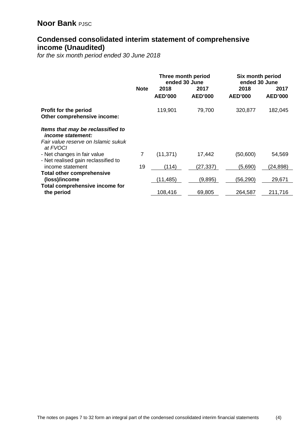# **Condensed consolidated interim statement of comprehensive income (Unaudited)**

*for the six month period ended 30 June 2018*

|                                                               |             | Three month period<br>ended 30 June |                | Six month period<br>ended 30 June |                |  |
|---------------------------------------------------------------|-------------|-------------------------------------|----------------|-----------------------------------|----------------|--|
|                                                               | <b>Note</b> | 2018                                | 2017           | 2018                              | 2017           |  |
|                                                               |             | <b>AED'000</b>                      | <b>AED'000</b> | <b>AED'000</b>                    | <b>AED'000</b> |  |
| <b>Profit for the period</b><br>Other comprehensive income:   |             | 119,901                             | 79,700         | 320,877                           | 182,045        |  |
| Items that may be reclassified to<br><i>income statement:</i> |             |                                     |                |                                   |                |  |
| Fair value reserve on Islamic sukuk<br>at FVOCI               |             |                                     |                |                                   |                |  |
| - Net changes in fair value                                   | 7           | (11, 371)                           | 17,442         | (50,600)                          | 54,569         |  |
| - Net realised gain reclassified to<br>income statement       | 19          | (114)                               | (27, 337)      | (5,690)                           | (24, 898)      |  |
| <b>Total other comprehensive</b>                              |             |                                     |                |                                   |                |  |
| (loss)/income                                                 |             | (11,485)                            | (9,895)        | (56, 290)                         | 29,671         |  |
| Total comprehensive income for                                |             |                                     |                |                                   |                |  |
| the period                                                    |             | 108,416                             | 69,805         | 264,587                           | 211,716        |  |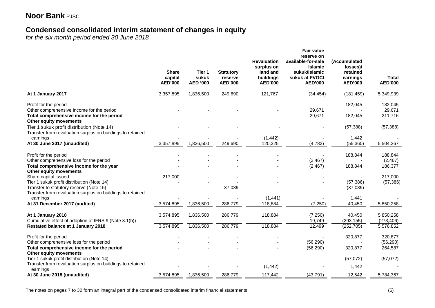# **Condensed consolidated interim statement of changes in equity**

*for the six month period ended 30 June 2018*

|                                                                                                                         | <b>Share</b><br>capital<br><b>AED'000</b> | Tier 1<br>sukuk<br><b>AED '000</b> | <b>Statutory</b><br>reserve<br><b>AED'000</b> | <b>Revaluation</b><br>surplus on<br>land and<br>buildings<br><b>AED'000</b> | <b>Fair value</b><br>reserve on<br>available-for-sale<br><b>Islamic</b><br>sukuk/Islamic<br>sukuk at FVOCI<br><b>AED'000</b> | (Accumulated<br>losses)/<br>retained<br>earnings<br><b>AED'000</b> | <b>Total</b><br><b>AED'000</b> |
|-------------------------------------------------------------------------------------------------------------------------|-------------------------------------------|------------------------------------|-----------------------------------------------|-----------------------------------------------------------------------------|------------------------------------------------------------------------------------------------------------------------------|--------------------------------------------------------------------|--------------------------------|
| At 1 January 2017                                                                                                       | 3,357,895                                 | 1,836,500                          | 249,690                                       | 121,767                                                                     | (34, 454)                                                                                                                    | (181, 459)                                                         | 5,349,939                      |
| Profit for the period                                                                                                   |                                           |                                    |                                               |                                                                             |                                                                                                                              | 182,045                                                            | 182,045                        |
| Other comprehensive income for the period<br>Total comprehensive income for the period<br><b>Other equity movements</b> |                                           |                                    |                                               |                                                                             | 29,671<br>29,671                                                                                                             | 182,045                                                            | 29,671<br>211,716              |
| Tier 1 sukuk profit distribution (Note 14)<br>Transfer from revaluation surplus on buildings to retained                |                                           |                                    |                                               |                                                                             |                                                                                                                              | (57, 388)                                                          | (57, 388)                      |
| earnings                                                                                                                |                                           |                                    |                                               | (1, 442)                                                                    |                                                                                                                              | 1,442                                                              |                                |
| At 30 June 2017 (unaudited)                                                                                             | 3,357,895                                 | 1,836,500                          | 249,690                                       | 120,325                                                                     | (4, 783)                                                                                                                     | (55, 360)                                                          | 5,504,267                      |
| Profit for the period<br>Other comprehensive loss for the period                                                        |                                           |                                    |                                               |                                                                             | (2, 467)                                                                                                                     | 188,844                                                            | 188,844<br>(2, 467)            |
| Total comprehensive income for the year<br>Other equity movements                                                       |                                           |                                    |                                               |                                                                             | (2, 467)                                                                                                                     | 188,844                                                            | 186,377                        |
| Share capital issued                                                                                                    | 217,000                                   |                                    |                                               |                                                                             |                                                                                                                              |                                                                    | 217,000                        |
| Tier 1 sukuk profit distribution (Note 14)                                                                              |                                           |                                    |                                               |                                                                             |                                                                                                                              | (57, 386)                                                          | (57, 386)                      |
| Transfer to statutory reserve (Note 15)<br>Transfer from revaluation surplus on buildings to retained                   |                                           |                                    | 37,089                                        |                                                                             |                                                                                                                              | (37,089)                                                           |                                |
| earnings<br>At 31 December 2017 (audited)                                                                               | 3,574,895                                 | 1,836,500                          | 286,779                                       | (1,441)<br>118,884                                                          | (7, 250)                                                                                                                     | 1,441<br>40,450                                                    | 5,850,258                      |
|                                                                                                                         |                                           |                                    |                                               |                                                                             |                                                                                                                              |                                                                    |                                |
| At 1 January 2018<br>Cumulative effect of adoption of IFRS 9 (Note 3.1(b))                                              | 3,574,895                                 | 1,836,500                          | 286,779                                       | 118,884                                                                     | (7, 250)<br>19,749                                                                                                           | 40,450<br>(293, 155)                                               | 5,850,258<br>(273, 406)        |
| Restated balance at 1 January 2018                                                                                      | 3,574,895                                 | 1,836,500                          | 286,779                                       | 118,884                                                                     | 12,499                                                                                                                       | (252, 705)                                                         | 5,576,852                      |
| Profit for the period                                                                                                   |                                           |                                    |                                               |                                                                             |                                                                                                                              | 320,877                                                            | 320,877                        |
| Other comprehensive loss for the period                                                                                 |                                           |                                    |                                               |                                                                             | (56, 290)                                                                                                                    |                                                                    | (56, 290)                      |
| Total comprehensive income for the period<br><b>Other equity movements</b>                                              |                                           |                                    |                                               |                                                                             | (56, 290)                                                                                                                    | 320,877                                                            | 264,587                        |
| Tier 1 sukuk profit distribution (Note 14)                                                                              |                                           |                                    |                                               |                                                                             |                                                                                                                              | (57,072)                                                           | (57,072)                       |
| Transfer from revaluation surplus on buildings to retained<br>earnings                                                  |                                           |                                    |                                               | (1, 442)                                                                    |                                                                                                                              | 1,442                                                              |                                |
| At 30 June 2018 (unaudited)                                                                                             | 3,574,895                                 | 1,836,500                          | 286,779                                       | 117,442                                                                     | (43, 791)                                                                                                                    | 12,542                                                             | 5,784,367                      |

The notes on pages 7 to 32 form an integral part of the condensed consolidated interim financial statements (5)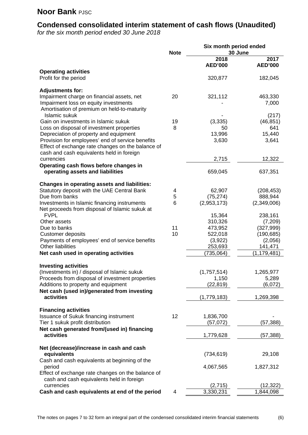# **Condensed consolidated interim statement of cash flows (Unaudited)**

*for the six month period ended 30 June 2018*

|                                                                                                       | Six month period ended |                      |                          |  |
|-------------------------------------------------------------------------------------------------------|------------------------|----------------------|--------------------------|--|
|                                                                                                       | <b>Note</b>            | 2018                 | 30 June<br>2017          |  |
|                                                                                                       |                        | <b>AED'000</b>       | <b>AED'000</b>           |  |
| <b>Operating activities</b>                                                                           |                        |                      |                          |  |
| Profit for the period                                                                                 |                        | 320,877              | 182,045                  |  |
| <b>Adjustments for:</b>                                                                               |                        |                      |                          |  |
| Impairment charge on financial assets, net                                                            | 20                     | 321,112              | 463,330                  |  |
| Impairment loss on equity investments<br>Amortisation of premium on held-to-maturity                  |                        |                      | 7,000                    |  |
| Islamic sukuk                                                                                         |                        |                      | (217)                    |  |
| Gain on investments in Islamic sukuk                                                                  | 19                     | (3, 335)             | (46, 851)                |  |
| Loss on disposal of investment properties                                                             | 8                      | 50                   | 641                      |  |
| Depreciation of property and equipment                                                                |                        | 13,996               | 15,440                   |  |
| Provision for employees' end of service benefits<br>Effect of exchange rate changes on the balance of |                        | 3,630                | 3,641                    |  |
| cash and cash equivalents held in foreign                                                             |                        |                      |                          |  |
| currencies                                                                                            |                        | 2,715                | 12,322                   |  |
| Operating cash flows before changes in                                                                |                        |                      |                          |  |
| operating assets and liabilities                                                                      |                        | 659,045              | 637,351                  |  |
| <b>Changes in operating assets and liabilities:</b>                                                   |                        |                      |                          |  |
| Statutory deposit with the UAE Central Bank                                                           | 4                      | 62,907               | (208, 453)               |  |
| Due from banks                                                                                        | 5                      | (75, 274)            | 888,944                  |  |
| Investments in Islamic financing instruments                                                          | 6                      | (2,953,173)          | (2,349,006)              |  |
| Net proceeds from disposal of Islamic sukuk at<br><b>FVPL</b>                                         |                        | 15,364               | 238,161                  |  |
| Other assets                                                                                          |                        | 310,326              | (7, 209)                 |  |
| Due to banks                                                                                          | 11                     | 473,952              | (327, 999)               |  |
| Customer deposits                                                                                     | 10                     | 522,018              | (190, 685)               |  |
| Payments of employees' end of service benefits                                                        |                        | (3,922)              | (2,056)                  |  |
| <b>Other liabilities</b><br>Net cash used in operating activities                                     |                        | 253,693<br>(735,064) | 141,471<br>(1, 179, 481) |  |
|                                                                                                       |                        |                      |                          |  |
| <b>Investing activities</b>                                                                           |                        |                      |                          |  |
| (Investments in) / disposal of Islamic sukuk<br>Proceeds from disposal of investment properties       |                        | (1,757,514)<br>1,150 | 1,265,977<br>5,289       |  |
| Additions to property and equipment                                                                   |                        | (22, 819)            | (6,072)                  |  |
| Net cash (used in)/generated from investing                                                           |                        |                      |                          |  |
| activities                                                                                            |                        | (1,779,183)          | 1,269,398                |  |
| <b>Financing activities</b>                                                                           |                        |                      |                          |  |
| Issuance of Sukuk financing instrument                                                                | 12                     | 1,836,700            |                          |  |
| Tier 1 sukuk profit distribution                                                                      |                        | (57, 072)            | (57, 388)                |  |
| Net cash generated from/(used in) financing<br>activities                                             |                        |                      |                          |  |
|                                                                                                       |                        | 1,779,628            | (57, 388)                |  |
| Net (decrease)/increase in cash and cash                                                              |                        |                      |                          |  |
| equivalents                                                                                           |                        | (734, 619)           | 29,108                   |  |
| Cash and cash equivalents at beginning of the<br>period                                               |                        | 4,067,565            | 1,827,312                |  |
| Effect of exchange rate changes on the balance of                                                     |                        |                      |                          |  |
| cash and cash equivalents held in foreign                                                             |                        |                      |                          |  |
| currencies                                                                                            |                        | (2,715)              | (12, 322)                |  |
| Cash and cash equivalents at end of the period                                                        | 4                      | 3,330,231            | 1,844,098                |  |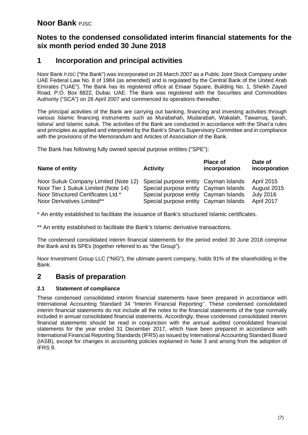# **Notes to the condensed consolidated interim financial statements for the six month period ended 30 June 2018**

# **1 Incorporation and principal activities**

Noor Bank PJSC ("the Bank") was incorporated on 26 March 2007 as a Public Joint Stock Company under UAE Federal Law No. 8 of 1984 (as amended) and is regulated by the Central Bank of the United Arab Emirates ("UAE"). The Bank has its registered office at Emaar Square, Building No. 1, Sheikh Zayed Road, P.O. Box 8822, Dubai, UAE. The Bank was registered with the Securities and Commodities Authority ("SCA") on 26 April 2007 and commenced its operations thereafter.

The principal activities of the Bank are carrying out banking, financing and investing activities through various Islamic financing instruments such as Murabahah, Mudarabah, Wakalah, Tawarruq, Ijarah, Istisna' and Islamic sukuk. The activities of the Bank are conducted in accordance with the Shari'a rules and principles as applied and interpreted by the Bank's Shari'a Supervisory Committee and in compliance with the provisions of the Memorandum and Articles of Association of the Bank.

The Bank has following fully owned special purpose entities ("SPE"):

| Name of entity                       | <b>Activity</b>                       | <b>Place of</b><br>incorporation | Date of<br>incorporation |
|--------------------------------------|---------------------------------------|----------------------------------|--------------------------|
| Noor Sukuk Company Limited (Note 12) | Special purpose entity Cayman Islands |                                  | <b>April 2015</b>        |
| Noor Tier 1 Sukuk Limited (Note 14)  | Special purpose entity Cayman Islands |                                  | August 2015              |
| Noor Structured Certificates Ltd.*   | Special purpose entity Cayman Islands |                                  | <b>July 2016</b>         |
| Noor Derivatives Limited**           | Special purpose entity Cayman Islands |                                  | April 2017               |

\* An entity established to facilitate the issuance of Bank's structured Islamic certificates.

\*\* An entity established to facilitate the Bank's Islamic derivative transactions.

The condensed consolidated interim financial statements for the period ended 30 June 2018 comprise the Bank and its SPEs (together referred to as "the Group").

Noor Investment Group LLC ("NIG"), the ultimate parent company, holds 91% of the shareholding in the Bank.

## **2 Basis of preparation**

#### **2.1 Statement of compliance**

These condensed consolidated interim financial statements have been prepared in accordance with International Accounting Standard 34 "Interim Financial Reporting''. These condensed consolidated interim financial statements do not include all the notes to the financial statements of the type normally included in annual consolidated financial statements. Accordingly, these condensed consolidated interim financial statements should be read in conjunction with the annual audited consolidated financial statements for the year ended 31 December 2017, which have been prepared in accordance with International Financial Reporting Standards (IFRS) as issued by International Accounting Standard Board (IASB), except for changes in accounting policies explained in Note 3 and arising from the adoption of IFRS 9.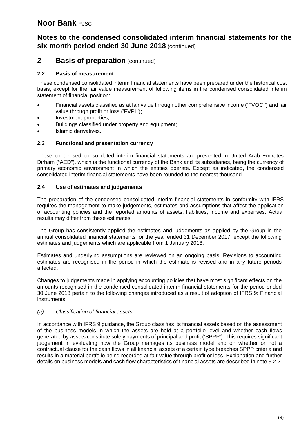## **Notes to the condensed consolidated interim financial statements for the six month period ended 30 June 2018** (continued)

### **2 Basis of preparation** (continued)

#### **2.2 Basis of measurement**

These condensed consolidated interim financial statements have been prepared under the historical cost basis, except for the fair value measurement of following items in the condensed consolidated interim statement of financial position:

- Financial assets classified as at fair value through other comprehensive income ('FVOCI') and fair value through profit or loss ('FVPL');
- Investment properties;
- Buildings classified under property and equipment;
- Islamic derivatives.

#### **2.3 Functional and presentation currency**

These condensed consolidated interim financial statements are presented in United Arab Emirates Dirham ("AED"), which is the functional currency of the Bank and its subsidiaries, being the currency of primary economic environment in which the entities operate. Except as indicated, the condensed consolidated interim financial statements have been rounded to the nearest thousand.

#### **2.4 Use of estimates and judgements**

The preparation of the condensed consolidated interim financial statements in conformity with IFRS requires the management to make judgements, estimates and assumptions that affect the application of accounting policies and the reported amounts of assets, liabilities, income and expenses. Actual results may differ from these estimates.

The Group has consistently applied the estimates and judgements as applied by the Group in the annual consolidated financial statements for the year ended 31 December 2017, except the following estimates and judgements which are applicable from 1 January 2018.

Estimates and underlying assumptions are reviewed on an ongoing basis. Revisions to accounting estimates are recognised in the period in which the estimate is revised and in any future periods affected.

Changes to judgements made in applying accounting policies that have most significant effects on the amounts recognised in the condensed consolidated interim financial statements for the period ended 30 June 2018 pertain to the following changes introduced as a result of adoption of IFRS 9: Financial instruments:

#### *(a) Classification of financial assets*

In accordance with IFRS 9 guidance, the Group classifies its financial assets based on the assessment of the business models in which the assets are held at a portfolio level and whether cash flows generated by assets constitute solely payments of principal and profit ('SPPP'). This requires significant judgement in evaluating how the Group manages its business model and on whether or not a contractual clause for the cash flows in all financial assets of a certain type breaches SPPP criteria and results in a material portfolio being recorded at fair value through profit or loss. Explanation and further details on business models and cash flow characteristics of financial assets are described in note 3.2.2.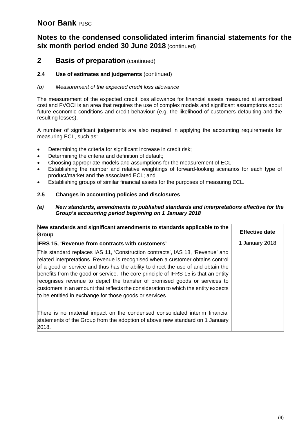# **Notes to the condensed consolidated interim financial statements for the six month period ended 30 June 2018** (continued)

## **2 Basis of preparation** (continued)

#### **2.4 Use of estimates and judgements** (continued)

#### *(b) Measurement of the expected credit loss allowance*

The measurement of the expected credit loss allowance for financial assets measured at amortised cost and FVOCI is an area that requires the use of complex models and significant assumptions about future economic conditions and credit behaviour (e.g. the likelihood of customers defaulting and the resulting losses).

A number of significant judgements are also required in applying the accounting requirements for measuring ECL, such as:

- Determining the criteria for significant increase in credit risk;
- Determining the criteria and definition of default;
- Choosing appropriate models and assumptions for the measurement of ECL;
- Establishing the number and relative weightings of forward-looking scenarios for each type of product/market and the associated ECL; and
- Establishing groups of similar financial assets for the purposes of measuring ECL.

#### **2.5 Changes in accounting policies and disclosures**

#### *(a) New standards, amendments to published standards and interpretations effective for the Group's accounting period beginning on 1 January 2018*

| New standards and significant amendments to standards applicable to the<br><b>Group</b>                                                                                                                                                                                                                                                                                                                                                                                                                                                                                    | <b>Effective date</b> |
|----------------------------------------------------------------------------------------------------------------------------------------------------------------------------------------------------------------------------------------------------------------------------------------------------------------------------------------------------------------------------------------------------------------------------------------------------------------------------------------------------------------------------------------------------------------------------|-----------------------|
| <b>IFRS 15, 'Revenue from contracts with customers'</b>                                                                                                                                                                                                                                                                                                                                                                                                                                                                                                                    | 1 January 2018        |
| This standard replaces IAS 11, 'Construction contracts', IAS 18, 'Revenue' and<br>related interpretations. Revenue is recognised when a customer obtains control<br>of a good or service and thus has the ability to direct the use of and obtain the<br>benefits from the good or service. The core principle of IFRS 15 is that an entity<br>recognises revenue to depict the transfer of promised goods or services to<br>customers in an amount that reflects the consideration to which the entity expects<br>to be entitled in exchange for those goods or services. |                       |
| There is no material impact on the condensed consolidated interim financial<br>statements of the Group from the adoption of above new standard on 1 January<br>2018.                                                                                                                                                                                                                                                                                                                                                                                                       |                       |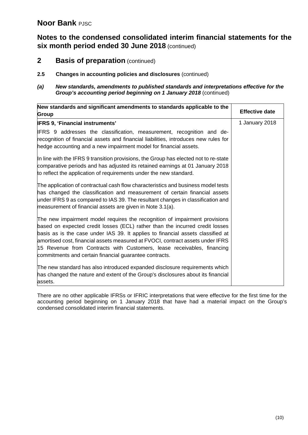**Notes to the condensed consolidated interim financial statements for the six month period ended 30 June 2018** (continued)

- **2 Basis of preparation** (continued)
- **2.5 Changes in accounting policies and disclosures** (continued)
- *(a) New standards, amendments to published standards and interpretations effective for the Group's accounting period beginning on 1 January 2018 (continued)*

| New standards and significant amendments to standards applicable to the<br><b>Group</b>                                                                                                                                                                                                                                                                                                                                                                             | <b>Effective date</b> |
|---------------------------------------------------------------------------------------------------------------------------------------------------------------------------------------------------------------------------------------------------------------------------------------------------------------------------------------------------------------------------------------------------------------------------------------------------------------------|-----------------------|
| <b>IFRS 9, 'Financial instruments'</b>                                                                                                                                                                                                                                                                                                                                                                                                                              | 1 January 2018        |
| IFRS 9 addresses the classification, measurement, recognition and de-<br>recognition of financial assets and financial liabilities, introduces new rules for<br>hedge accounting and a new impairment model for financial assets.                                                                                                                                                                                                                                   |                       |
| In line with the IFRS 9 transition provisions, the Group has elected not to re-state<br>comparative periods and has adjusted its retained earnings at 01 January 2018<br>to reflect the application of requirements under the new standard.                                                                                                                                                                                                                         |                       |
| The application of contractual cash flow characteristics and business model tests<br>has changed the classification and measurement of certain financial assets<br>under IFRS 9 as compared to IAS 39. The resultant changes in classification and<br>measurement of financial assets are given in Note 3.1(a).                                                                                                                                                     |                       |
| The new impairment model requires the recognition of impairment provisions<br>based on expected credit losses (ECL) rather than the incurred credit losses<br>basis as is the case under IAS 39. It applies to financial assets classified at<br>amortised cost, financial assets measured at FVOCI, contract assets under IFRS<br>15 Revenue from Contracts with Customers, lease receivables, financing<br>commitments and certain financial guarantee contracts. |                       |
| The new standard has also introduced expanded disclosure requirements which<br>has changed the nature and extent of the Group's disclosures about its financial<br>assets.                                                                                                                                                                                                                                                                                          |                       |

There are no other applicable IFRSs or IFRIC interpretations that were effective for the first time for the accounting period beginning on 1 January 2018 that have had a material impact on the Group's condensed consolidated interim financial statements.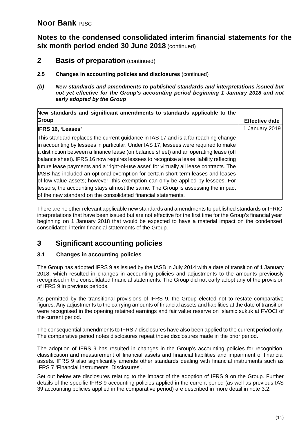**Notes to the condensed consolidated interim financial statements for the six month period ended 30 June 2018** (continued)

- **2 Basis of preparation** (continued)
- **2.5 Changes in accounting policies and disclosures** (continued)
- *(b) New standards and amendments to published standards and interpretations issued but not yet effective for the Group's accounting period beginning 1 January 2018 and not early adopted by the Group*

| New standards and significant amendments to standards applicable to the                                                                                                                                                                                                                                                                                                                                                                                                                                                                                                                                                                                                                                                                                                            |                       |
|------------------------------------------------------------------------------------------------------------------------------------------------------------------------------------------------------------------------------------------------------------------------------------------------------------------------------------------------------------------------------------------------------------------------------------------------------------------------------------------------------------------------------------------------------------------------------------------------------------------------------------------------------------------------------------------------------------------------------------------------------------------------------------|-----------------------|
| <b>Group</b>                                                                                                                                                                                                                                                                                                                                                                                                                                                                                                                                                                                                                                                                                                                                                                       | <b>Effective date</b> |
| <b>IFRS 16, 'Leases'</b>                                                                                                                                                                                                                                                                                                                                                                                                                                                                                                                                                                                                                                                                                                                                                           | 1 January 2019        |
| This standard replaces the current guidance in IAS 17 and is a far reaching change<br>in accounting by lessees in particular. Under IAS 17, lessees were required to make<br>a distinction between a finance lease (on balance sheet) and an operating lease (off<br>balance sheet). IFRS 16 now requires lessees to recognise a lease liability reflecting<br>future lease payments and a 'right-of-use asset' for virtually all lease contracts. The<br>ASB has included an optional exemption for certain short-term leases and leases<br>of low-value assets; however, this exemption can only be applied by lessees. For<br>lessors, the accounting stays almost the same. The Group is assessing the impact<br>of the new standard on the consolidated financial statements. |                       |

There are no other relevant applicable new standards and amendments to published standards or IFRIC interpretations that have been issued but are not effective for the first time for the Group's financial year beginning on 1 January 2018 that would be expected to have a material impact on the condensed consolidated interim financial statements of the Group.

# **3 Significant accounting policies**

#### **3.1 Changes in accounting policies**

The Group has adopted IFRS 9 as issued by the IASB in July 2014 with a date of transition of 1 January 2018, which resulted in changes in accounting policies and adjustments to the amounts previously recognised in the consolidated financial statements. The Group did not early adopt any of the provision of IFRS 9 in previous periods.

As permitted by the transitional provisions of IFRS 9, the Group elected not to restate comparative figures. Any adjustments to the carrying amounts of financial assets and liabilities at the date of transition were recognised in the opening retained earnings and fair value reserve on Islamic sukuk at FVOCI of the current period.

The consequential amendments to IFRS 7 disclosures have also been applied to the current period only. The comparative period notes disclosures repeat those disclosures made in the prior period.

The adoption of IFRS 9 has resulted in changes in the Group's accounting policies for recognition, classification and measurement of financial assets and financial liabilities and impairment of financial assets. IFRS 9 also significantly amends other standards dealing with financial instruments such as IFRS 7 'Financial Instruments: Disclosures'.

Set out below are disclosures relating to the impact of the adoption of IFRS 9 on the Group. Further details of the specific IFRS 9 accounting policies applied in the current period (as well as previous IAS 39 accounting policies applied in the comparative period) are described in more detail in note 3.2.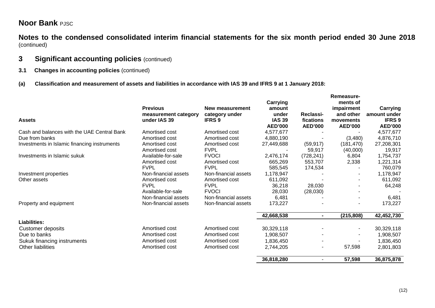**Notes to the condensed consolidated interim financial statements for the six month period ended 30 June 2018** (continued)

## **3 Significant accounting policies** (continued)

- **3.1 Changes in accounting policies** (continued)
- **(a) Classification and measurement of assets and liabilities in accordance with IAS 39 and IFRS 9 at 1 January 2018:**

|                                              | <b>Previous</b>                      | New measurement                 | <b>Carrying</b><br>amount                |                                          | Remeasure-<br>ments of<br>impairment     | Carrying                                        |
|----------------------------------------------|--------------------------------------|---------------------------------|------------------------------------------|------------------------------------------|------------------------------------------|-------------------------------------------------|
| <b>Assets</b>                                | measurement category<br>under IAS 39 | category under<br><b>IFRS 9</b> | under<br><b>IAS 39</b><br><b>AED'000</b> | Reclassi-<br>fications<br><b>AED'000</b> | and other<br>movements<br><b>AED'000</b> | amount under<br><b>IFRS 9</b><br><b>AED'000</b> |
| Cash and balances with the UAE Central Bank  | Amortised cost                       | Amortised cost                  | 4,577,677                                |                                          |                                          | 4,577,677                                       |
| Due from banks                               | Amortised cost                       | Amortised cost                  | 4,880,190                                |                                          | (3,480)                                  | 4,876,710                                       |
| Investments in Islamic financing instruments | Amortised cost                       | Amortised cost                  | 27,449,688                               | (59, 917)                                | (181, 470)                               | 27,208,301                                      |
|                                              | Amortised cost                       | <b>FVPL</b>                     |                                          | 59,917                                   | (40,000)                                 | 19,917                                          |
| Investments in Islamic sukuk                 | Available-for-sale                   | <b>FVOCI</b>                    | 2,476,174                                | (728, 241)                               | 6,804                                    | 1,754,737                                       |
|                                              | Amortised cost                       | Amortised cost                  | 665,269                                  | 553,707                                  | 2,338                                    | 1,221,314                                       |
|                                              | <b>FVPL</b>                          | <b>FVPL</b>                     | 585,545                                  | 174,534                                  |                                          | 760,079                                         |
| Investment properties                        | Non-financial assets                 | Non-financial assets            | 1,178,947                                |                                          |                                          | 1,178,947                                       |
| Other assets                                 | Amortised cost                       | Amortised cost                  | 611,092                                  |                                          |                                          | 611,092                                         |
|                                              | <b>FVPL</b>                          | <b>FVPL</b>                     | 36,218                                   | 28,030                                   |                                          | 64,248                                          |
|                                              | Available-for-sale                   | <b>FVOCI</b>                    | 28,030                                   | (28,030)                                 |                                          |                                                 |
|                                              | Non-financial assets                 | Non-financial assets            | 6,481                                    |                                          |                                          | 6,481                                           |
| Property and equipment                       | Non-financial assets                 | Non-financial assets            | 173,227                                  |                                          |                                          | 173,227                                         |
|                                              |                                      |                                 | 42,668,538                               | $\blacksquare$                           | (215, 808)                               | 42,452,730                                      |
| <b>Liabilities:</b>                          |                                      |                                 |                                          |                                          |                                          |                                                 |
| Customer deposits                            | Amortised cost                       | Amortised cost                  | 30,329,118                               |                                          |                                          | 30,329,118                                      |
| Due to banks                                 | Amortised cost                       | Amortised cost                  | 1,908,507                                |                                          |                                          | 1,908,507                                       |
| Sukuk financing instruments                  | Amortised cost                       | Amortised cost                  | 1,836,450                                |                                          |                                          | 1,836,450                                       |
| Other liabilities                            | Amortised cost                       | Amortised cost                  | 2,744,205                                | ۰                                        | 57,598                                   | 2,801,803                                       |
|                                              |                                      |                                 | 36,818,280                               |                                          | 57,598                                   | 36,875,878                                      |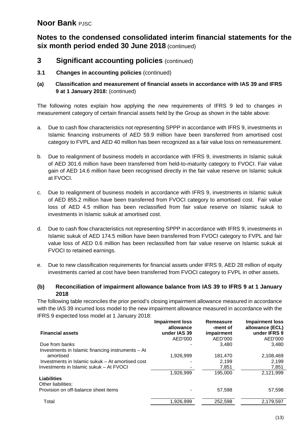# **Notes to the condensed consolidated interim financial statements for the six month period ended 30 June 2018** (continued)

## **3** Significant accounting policies (continued)

- **3.1 Changes in accounting policies** (continued)
- **(a) Classification and measurement of financial assets in accordance with IAS 39 and IFRS 9 at 1 January 2018:** (continued)

The following notes explain how applying the new requirements of IFRS 9 led to changes in measurement category of certain financial assets held by the Group as shown in the table above:

- a. Due to cash flow characteristics not representing SPPP in accordance with IFRS 9, investments in Islamic financing instruments of AED 59.9 million have been transferred from amortised cost category to FVPL and AED 40 million has been recognized as a fair value loss on remeasurement.
- b. Due to realignment of business models in accordance with IFRS 9, investments in Islamic sukuk of AED 301.6 million have been transferred from held-to-maturity category to FVOCI. Fair value gain of AED 14.6 million have been recognised directly in the fair value reserve on Islamic sukuk at FVOCI.
- c. Due to realignment of business models in accordance with IFRS 9, investments in Islamic sukuk of AED 855.2 million have been transferred from FVOCI category to amortised cost. Fair value loss of AED 4.5 million has been reclassified from fair value reserve on Islamic sukuk to investments in Islamic sukuk at amortised cost.
- d. Due to cash flow characteristics not representing SPPP in accordance with IFRS 9, investments in Islamic sukuk of AED 174.5 million have been transferred from FVOCI category to FVPL and fair value loss of AED 0.6 million has been reclassified from fair value reserve on Islamic sukuk at FVOCI to retained earnings.
- e. Due to new classification requirements for financial assets under IFRS 9, AED 28 million of equity investments carried at cost have been transferred from FVOCI category to FVPL in other assets.

#### **(b) Reconciliation of impairment allowance balance from IAS 39 to IFRS 9 at 1 January 2018**

The following table reconciles the prior period's closing impairment allowance measured in accordance with the IAS 39 incurred loss model to the new impairment allowance measured in accordance with the IFRS 9 expected loss model at 1 January 2018:

|                                                   | Impairment loss<br>allowance | Remeasure<br>-ment of | Impairment loss<br>allowance (ECL) |
|---------------------------------------------------|------------------------------|-----------------------|------------------------------------|
| <b>Financial assets</b>                           | under IAS 39                 | impairment            | under IFRS 9                       |
|                                                   | AED'000                      | AED'000               | AED'000                            |
| Due from banks                                    |                              | 3.480                 | 3,480                              |
| Investments in Islamic financing instruments – At |                              |                       |                                    |
| amortised                                         | 1.926.999                    | 181,470               | 2,108,469                          |
| Investments in Islamic sukuk – At amortised cost  |                              | 2.199                 | 2.199                              |
| Investments in Islamic sukuk – At FVOCI           |                              | 7,851                 | 7,851                              |
|                                                   | 1,926,999                    | 195.000               | 2,121,999                          |
| Liabilities                                       |                              |                       |                                    |
| Other liabilities:                                |                              |                       |                                    |
| Provision on off-balance sheet items              |                              | 57,598                | 57,598                             |
| Total                                             | 1,926,999                    | 252,598               | 2,179,597                          |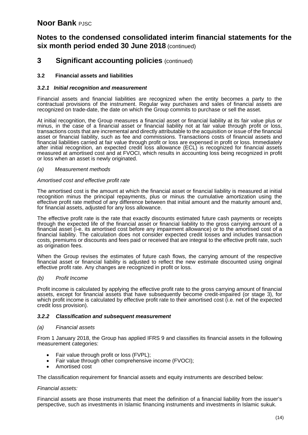# **Notes to the condensed consolidated interim financial statements for the six month period ended 30 June 2018** (continued)

## **3 Significant accounting policies** (continued)

#### **3.2 Financial assets and liabilities**

#### *3.2.1 Initial recognition and measurement*

Financial assets and financial liabilities are recognized when the entity becomes a party to the contractual provisions of the instrument. Regular way purchases and sales of financial assets are recognized on trade-date, the date on which the Group commits to purchase or sell the asset.

At initial recognition, the Group measures a financial asset or financial liability at its fair value plus or minus, in the case of a financial asset or financial liability not at fair value through profit or loss, transactions costs that are incremental and directly attributable to the acquisition or issue of the financial asset or financial liability, such as fee and commissions. Transactions costs of financial assets and financial liabilities carried at fair value through profit or loss are expensed in profit or loss. Immediately after initial recognition, an expected credit loss allowance (ECL) is recognized for financial assets measured at amortised cost and at FVOCI, which results in accounting loss being recognized in profit or loss when an asset is newly originated.

#### *(a) Measurement methods*

#### *Amortised cost and effective profit rate*

The amortised cost is the amount at which the financial asset or financial liability is measured at initial recognition minus the principal repayments, plus or minus the cumulative amortization using the effective profit rate method of any difference between that initial amount and the maturity amount and, for financial assets, adjusted for any loss allowance.

The effective profit rate is the rate that exactly discounts estimated future cash payments or receipts through the expected life of the financial asset or financial liability to the gross carrying amount of a financial asset (i-e. its amortised cost before any impairment allowance) or to the amortised cost of a financial liability. The calculation does not consider expected credit losses and includes transaction costs, premiums or discounts and fees paid or received that are integral to the effective profit rate, such as origination fees.

When the Group revises the estimates of future cash flows, the carrying amount of the respective financial asset or financial liability is adjusted to reflect the new estimate discounted using original effective profit rate. Any changes are recognized in profit or loss.

#### *(b) Profit Income*

Profit income is calculated by applying the effective profit rate to the gross carrying amount of financial assets, except for financial assets that have subsequently become credit-impaired (or stage 3), for which profit income is calculated by effective profit rate to their amortised cost (i.e. net of the expected credit loss provision).

#### *3.2.2 Classification and subsequent measurement*

#### *(a) Financial assets*

From 1 January 2018, the Group has applied IFRS 9 and classifies its financial assets in the following measurement categories:

- Fair value through profit or loss (FVPL);
- Fair value through other comprehensive income (FVOCI);
- Amortised cost

The classification requirement for financial assets and equity instruments are described below:

#### *Financial assets:*

Financial assets are those instruments that meet the definition of a financial liability from the issuer's perspective, such as investments in Islamic financing instruments and investments in Islamic sukuk.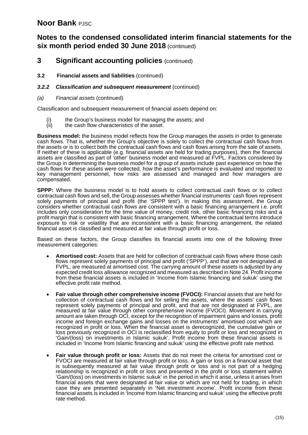# **Notes to the condensed consolidated interim financial statements for the six month period ended 30 June 2018** (continued)

## **3 Significant accounting policies** (continued)

**3.2 Financial assets and liabilities** (continued)

#### *3.2.2 Classification and subsequent measurement* (continued)

*(a) Financial assets* (continued)

Classification and subsequent measurement of financial assets depend on:

- (i) the Group's business model for managing the assets; and  $(ii)$  the cash flow characteristics of the asset.
- the cash flow characteristics of the asset.

**Business model:** the business model reflects how the Group manages the assets in order to generate cash flows. That is, whether the Group's objective is solely to collect the contractual cash flows from the assets or is to collect both the contractual cash flows and cash flows arising from the sale of assets. If neither of these is applicable (e.g. financial assets are held for trading purposes), then the financial assets are classified as part of 'other' business model and measured at FVPL. Factors considered by the Group in determining the business model for a group of assets include past experience on how the cash flows for these assets were collected, how the asset's performance is evaluated and reported to key management personnel, how risks are assessed and managed and how managers are compensated.

**SPPP:** Where the business model is to hold assets to collect contractual cash flows or to collect contractual cash flows and sell, the Group assesses whether financial instruments' cash flows represent solely payments of principal and profit (the 'SPPP test'). In making this assessment, the Group considers whether contractual cash flows are consistent with a basic financing arrangement i.e. profit includes only consideration for the time value of money, credit risk, other basic financing risks and a profit margin that is consistent with basic financing arrangement. Where the contractual terms introduce exposure to risk or volatility that are inconsistent with a basic financing arrangement, the related financial asset is classified and measured at fair value through profit or loss.

Based on these factors, the Group classifies its financial assets into one of the following three measurement categories:

- **Amortised cost:** Assets that are held for collection of contractual cash flows where those cash flows represent solely payments of principal and profit ('SPPP'), and that are not designated at FVPL, are measured at amortised cost. The carrying amount of these assets is adjusted by any expected credit loss allowance recognized and measured as described in Note 24. Profit income from these financial assets is included in 'Income from Islamic financing and sukuk' using the effective profit rate method.
- **Fair value through other comprehensive income (FVOCI):** Financial assets that are held for collection of contractual cash flows and for selling the assets, where the assets' cash flows represent solely payments of principal and profit, and that are not designated at FVPL, are measured at fair value through other comprehensive income (FVOCI). Movement in carrying amount are taken through OCI, except for the recognition of impairment gains and losses, profit income and foreign exchange gains and losses on the instruments' amortised cost which are recognized in profit or loss. When the financial asset is derecognized, the cumulative gain or loss previously recognized in OCI is reclassified from equity to profit or loss and recognized in 'Gain/(loss) on investments in Islamic sukuk'. Profit income from these financial assets is included in 'Income from Islamic financing and sukuk' using the effective profit rate method.
- **Fair value through profit or loss:** Assets that do not meet the criteria for amortised cost or FVOCI are measured at fair value through profit or loss. A gain or loss on a financial asset that is subsequently measured at fair value through profit or loss and is not part of a hedging relationship is recognized in profit or loss and presented in the profit or loss statement within 'Gain/(loss) on investments in Islamic sukuk' in the period in which it arise, unless it arises from financial assets that were designated at fair value or which are not held for trading, in which case they are presented separately in 'Net investment income'. Profit income from these financial assets is included in 'Income from Islamic financing and sukuk' using the effective profit rate method.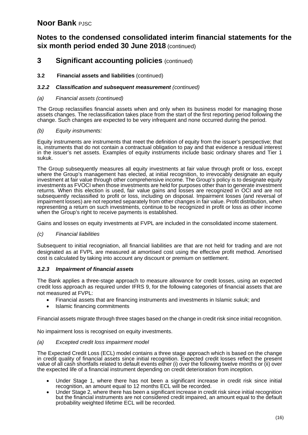# **Notes to the condensed consolidated interim financial statements for the six month period ended 30 June 2018** (continued)

## **3 Significant accounting policies** (continued)

#### **3.2 Financial assets and liabilities** (continued)

#### *3.2.2 Classification and subsequent measurement (continued)*

#### *(a) Financial assets (continued)*

The Group reclassifies financial assets when and only when its business model for managing those assets changes. The reclassification takes place from the start of the first reporting period following the change. Such changes are expected to be very infrequent and none occurred during the period.

#### *(b) Equity instruments:*

Equity instruments are instruments that meet the definition of equity from the issuer's perspective; that is, instruments that do not contain a contractual obligation to pay and that evidence a residual interest in the issuer's net assets. Examples of equity instruments include basic ordinary shares and Tier 1 sukuk.

The Group subsequently measures all equity investments at fair value through profit or loss, except where the Group's management has elected, at initial recognition, to irrevocably designate an equity investment at fair value through other comprehensive income. The Group's policy is to designate equity investments as FVOCI when those investments are held for purposes other than to generate investment returns. When this election is used, fair value gains and losses are recognized in OCI and are not subsequently reclassified to profit or loss, including on disposal. Impairment losses (and reversal of impairment losses) are not reported separately from other changes in fair value. Profit distribution, when representing a return on such investments, continue to be recognized in profit or loss as other income when the Group's right to receive payments is established.

Gains and losses on equity investments at FVPL are included in the consolidated income statement.

#### *(c) Financial liabilities*

Subsequent to initial recogniation, all financial liabilities are that are not held for trading and are not designated as at FVPL are measured at amortised cost using the effective profit method. Amortised cost is calculated by taking into account any discount or premium on settlement.

#### *3.2.3 Impairment of financial assets*

The Bank applies a three-stage approach to measure allowance for credit losses, using an expected credit loss approach as required under IFRS 9, for the following categories of financial assets that are not measured at FVPL:

- Financial assets that are financing instruments and investments in Islamic sukuk; and
- Islamic financing commitments

Financial assets migrate through three stages based on the change in credit risk since initial recognition.

No impairment loss is recognised on equity investments.

#### *(a) Excepted credit loss impairment model*

The Expected Credit Loss (ECL) model contains a three stage approach which is based on the change in credit quality of financial assets since initial recognition. Expected credit losses reflect the present value of all cash shortfalls related to default events either (i) over the following twelve months or (ii) over the expected life of a financial instrument depending on credit deterioration from inception.

- Under Stage 1, where there has not been a significant increase in credit risk since initial recognition, an amount equal to 12 months ECL will be recorded.
- Under Stage 2, where there has been a significant increase in credit risk since initial recognition but the financial instruments are not considered credit impaired, an amount equal to the default probability weighted lifetime ECL will be recorded.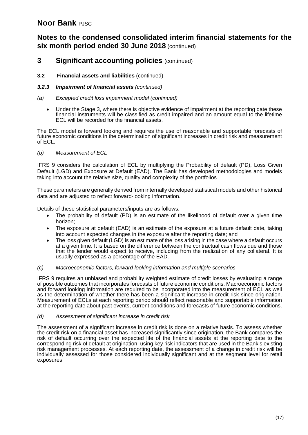# **Notes to the condensed consolidated interim financial statements for the six month period ended 30 June 2018** (continued)

## **3 Significant accounting policies** (continued)

#### **3.2 Financial assets and liabilities** (continued)

#### *3.2.3 Impairment of financial assets (continued)*

#### *(a) Excepted credit loss impairment model (continued)*

• Under the Stage 3, where there is objective evidence of impairment at the reporting date these financial instruments will be classified as credit impaired and an amount equal to the lifetime ECL will be recorded for the financial assets.

The ECL model is forward looking and requires the use of reasonable and supportable forecasts of future economic conditions in the determination of significant increases in credit risk and measurement of ECL.

#### *(b) Measurement of ECL*

IFRS 9 considers the calculation of ECL by multiplying the Probability of default (PD), Loss Given Default (LGD) and Exposure at Default (EAD). The Bank has developed methodologies and models taking into account the relative size, quality and complexity of the portfolios.

These parameters are generally derived from internally developed statistical models and other historical data and are adjusted to reflect forward-looking information.

Details of these statistical parameters/inputs are as follows:

- The probability of default (PD) is an estimate of the likelihood of default over a given time horizon;
- The exposure at default (EAD) is an estimate of the exposure at a future default date, taking into account expected changes in the exposure after the reporting date; and
- The loss given default (LGD) is an estimate of the loss arising in the case where a default occurs at a given time. It is based on the difference between the contractual cash flows due and those that the lender would expect to receive, including from the realization of any collateral. It is usually expressed as a percentage of the EAD.

#### *(c) Macroeconomic factors, forward looking information and multiple scenarios*

IFRS 9 requires an unbiased and probability weighted estimate of credit losses by evaluating a range of possible outcomes that incorporates forecasts of future economic conditions. Macroeconomic factors and forward looking information are required to be incorporated into the measurement of ECL as well as the determination of whether there has been a significant increase in credit risk since origination. Measurement of ECLs at each reporting period should reflect reasonable and supportable information at the reporting date about past events, current conditions and forecasts of future economic conditions.

#### *(d) Assessment of significant increase in credit risk*

The assessment of a significant increase in credit risk is done on a relative basis. To assess whether the credit risk on a financial asset has increased significantly since origination, the Bank compares the risk of default occurring over the expected life of the financial assets at the reporting date to the corresponding risk of default at origination, using key risk indicators that are used in the Bank's existing risk management processes. At each reporting date, the assessment of a change in credit risk will be individually assessed for those considered individually significant and at the segment level for retail exposures.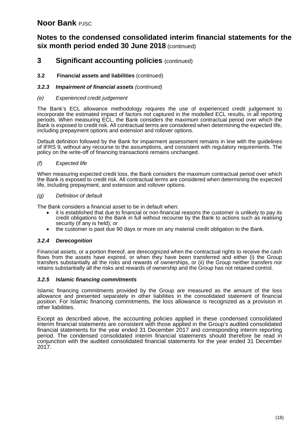# **Notes to the condensed consolidated interim financial statements for the six month period ended 30 June 2018** (continued)

## **3 Significant accounting policies** (continued)

#### **3.2 Financial assets and liabilities** (continued)

#### *3.2.3 Impairment of financial assets (continued)*

#### *(e) Experienced credit judgement*

The Bank's ECL allowance methodology requires the use of experienced credit judgement to incorporate the estimated impact of factors not captured in the modelled ECL results, in all reporting periods. When measuring ECL, the Bank considers the maximum contractual period over which the Bank is exposed to credit risk. All contractual terms are considered when determining the expected life, including prepayment options and extension and rollover options.

Default definition followed by the Bank for impairment assessment remains in line with the guidelines of IFRS 9, without any recourse to the assumptions, and consistent with regulatory requirements. The policy on the write-off of financing transactions remains unchanged.

#### *(f) Expected life*

When measuring expected credit loss, the Bank considers the maximum contractual period over which the Bank is exposed to credit risk. All contractual terms are considered when determining the expected life, including prepayment, and extension and rollover options.

#### *(g) Definition of default*

The Bank considers a financial asset to be in default when:

- it is established that due to financial or non-financial reasons the customer is unlikely to pay its credit obligations to the Bank in full without recourse by the Bank to actions such as realising security (if any is held); or
- the customer is past due 90 days or more on any material credit obligation to the Bank.

#### *3.2.4 Derecognition*

Financial assets, or a portion thereof, are derecognized when the contractual rights to receive the cash flows from the assets have expired, or when they have been transferred and either (i) the Group transfers substantially all the risks and rewards of ownerships, or (ii) the Group neither transfers nor retains substantially all the risks and rewards of ownership and the Group has not retained control.

#### *3.2.5 Islamic financing commitments*

Islamic financing commitments provided by the Group are measured as the amount of the loss allowance and presented separately in other liabilities in the consolidated statement of financial position. For Islamic financing commitments, the loss allowance is recognized as a provision in other liabilities.

Except as described above, the accounting policies applied in these condensed consolidated interim financial statements are consistent with those applied in the Group's audited consolidated financial statements for the year ended 31 December 2017 and corresponding interim reporting period. The condensed consolidated interim financial statements should therefore be read in conjunction with the audited consolidated financial statements for the year ended 31 December 2017.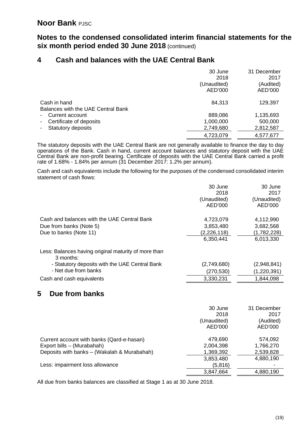**Notes to the condensed consolidated interim financial statements for the six month period ended 30 June 2018** (continued)

# **4 Cash and balances with the UAE Central Bank**

|                                                    | 30 June<br>2018<br>(Unaudited)<br>AED'000 | 31 December<br>2017<br>(Audited)<br>AED'000 |
|----------------------------------------------------|-------------------------------------------|---------------------------------------------|
| Cash in hand<br>Balances with the UAE Central Bank | 84,313                                    | 129,397                                     |
| Current account<br>$\blacksquare$                  | 889,086                                   | 1,135,693                                   |
| Certificate of deposits<br>$\sim 100$              | 1,000,000                                 | 500,000                                     |
| - Statutory deposits                               | 2,749,680                                 | 2,812,587                                   |
|                                                    | 4,723,079                                 | 4,577,677                                   |

The statutory deposits with the UAE Central Bank are not generally available to finance the day to day operations of the Bank. Cash in hand, current account balances and statutory deposit with the UAE Central Bank are non-profit bearing. Certificate of deposits with the UAE Central Bank carried a profit rate of 1.68% - 1.84% per annum (31 December 2017: 1.2% per annum).

Cash and cash equivalents include the following for the purposes of the condensed consolidated interim statement of cash flows:

|                                                                   | 30 June       | 30 June     |
|-------------------------------------------------------------------|---------------|-------------|
|                                                                   | 2018          | 2017        |
|                                                                   | (Unaudited)   | (Unaudited) |
|                                                                   | AED'000       | AED'000     |
| Cash and balances with the UAE Central Bank                       | 4,723,079     | 4,112,990   |
| Due from banks (Note 5)                                           | 3,853,480     | 3,682,568   |
| Due to banks (Note 11)                                            | (2, 226, 118) | (1,782,228) |
|                                                                   | 6,350,441     | 6,013,330   |
| Less: Balances having original maturity of more than<br>3 months: |               |             |
| - Statutory deposits with the UAE Central Bank                    | (2,749,680)   | (2,948,841) |
| - Net due from banks                                              | (270, 530)    | (1,220,391) |
| Cash and cash equivalents                                         | 3,330,231     | 1,844,098   |

# **5 Due from banks**

|                                             | 30 June     | 31 December |
|---------------------------------------------|-------------|-------------|
|                                             | 2018        | 2017        |
|                                             | (Unaudited) | (Audited)   |
|                                             | AED'000     | AED'000     |
| Current account with banks (Qard-e-hasan)   | 479,690     | 574,092     |
| Export bills - (Murabahah)                  | 2,004,398   | 1,766,270   |
| Deposits with banks - (Wakalah & Murabahah) | 1,369,392   | 2,539,828   |
|                                             | 3,853,480   | 4,880,190   |
| Less: impairment loss allowance             | (5,816)     |             |
|                                             | 3,847,664   | 4,880,190   |

All due from banks balances are classified at Stage 1 as at 30 June 2018.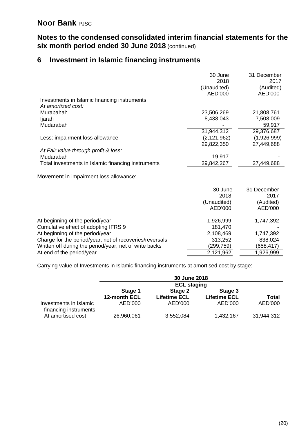# **Notes to the condensed consolidated interim financial statements for the six month period ended 30 June 2018** (continued)

# **6 Investment in Islamic financing instruments**

|                                                    | 30 June       | 31 December |
|----------------------------------------------------|---------------|-------------|
|                                                    | 2018          | 2017        |
|                                                    | (Unaudited)   | (Audited)   |
|                                                    | AED'000       | AED'000     |
| Investments in Islamic financing instruments       |               |             |
| At amortized cost:                                 |               |             |
| Murabahah                                          | 23,506,269    | 21,808,761  |
| ljarah                                             | 8,438,043     | 7,508,009   |
| Mudarabah                                          |               | 59,917      |
|                                                    | 31,944,312    | 29,376,687  |
| Less: impairment loss allowance                    | (2, 121, 962) | (1,926,999) |
|                                                    | 29,822,350    | 27,449,688  |
| At Fair value through profit & loss:               |               |             |
| Mudarabah                                          | 19,917        |             |
| Total investments in Islamic financing instruments | 29,842,267    | 27,449,688  |
|                                                    |               |             |
| Movement in impairment loss allowance:             |               |             |
|                                                    | 30 June       | 31 December |
|                                                    | 2018          | 2017        |
|                                                    | (Unaudited)   | (Audited)   |
|                                                    | AED'000       | AED'000     |
|                                                    |               |             |
| At beginning of the period/year                    | 1,926,999     | 1,747,392   |
| Cumulative effect of adopting IFRS 9               | 181,470       |             |
|                                                    |               |             |

At beginning of the period/year 2,108,469 1,747,392<br>Charge for the period/year, net of recoveries/reversals 213,252 838,024 Charge for the period/year, net of recoveries/reversals 313,252 838,024<br>Written off during the period/year, net of write backs (299,759) (658,417) Written off during the period/year, net of write backs At end of the period/year 2,121,962 1,926,999

Carrying value of Investments in Islamic financing instruments at amortised cost by stage:

|                                                 |                    | 30 June 2018        |                     |            |
|-------------------------------------------------|--------------------|---------------------|---------------------|------------|
|                                                 | <b>ECL staging</b> |                     |                     |            |
|                                                 | Stage 1            | Stage 2             | Stage 3             |            |
|                                                 | 12-month ECL       | <b>Lifetime ECL</b> | <b>Lifetime ECL</b> | Total      |
| Investments in Islamic<br>financing instruments | AED'000            | AED'000             | AED'000             | AED'000    |
| At amortised cost                               | 26,960,061         | 3,552,084           | 1,432,167           | 31,944,312 |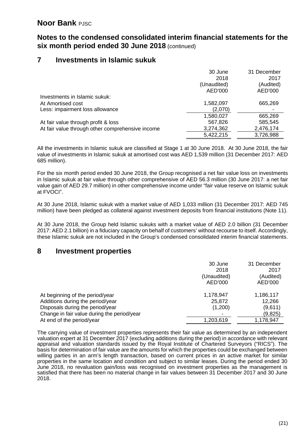# **Notes to the condensed consolidated interim financial statements for the six month period ended 30 June 2018** (continued)

# **7 Investments in Islamic sukuk**

|                                                  | 30 June     | 31 December |
|--------------------------------------------------|-------------|-------------|
|                                                  | 2018        | 2017        |
|                                                  | (Unaudited) | (Audited)   |
|                                                  | AED'000     | AED'000     |
| Investments in Islamic sukuk:                    |             |             |
| At Amortised cost                                | 1,582,097   | 665,269     |
| Less: impairment loss allowance                  | (2,070)     |             |
|                                                  | 1,580,027   | 665,269     |
| At fair value through profit & loss              | 567,826     | 585,545     |
| At fair value through other comprehensive income | 3,274,362   | 2,476,174   |
|                                                  | 5,422,215   | 3,726,988   |

All the investments in Islamic sukuk are classified at Stage 1 at 30 June 2018. At 30 June 2018, the fair value of investments in Islamic sukuk at amortised cost was AED 1,539 million (31 December 2017: AED 685 million).

For the six month period ended 30 June 2018, the Group recognised a net fair value loss on investments in Islamic sukuk at fair value through other comprehensive of AED 56.3 million (30 June 2017: a net fair value gain of AED 29.7 million) in other comprehensive income under "fair value reserve on Islamic sukuk at FVOCI".

At 30 June 2018, Islamic sukuk with a market value of AED 1,033 million (31 December 2017: AED 745 million) have been pledged as collateral against investment deposits from financial institutions (Note 11).

At 30 June 2018, the Group held Islamic sukuks with a market value of AED 2.0 billion (31 December 2017: AED 2.1 billion) in a fiduciary capacity on behalf of customers' without recourse to itself. Accordingly, these Islamic sukuk are not included in the Group's condensed consolidated interim financial statements.

## **8 Investment properties**

|                                             | 30 June<br>2018<br>(Unaudited)<br>AED'000 | 31 December<br>2017<br>(Audited)<br>AED'000 |
|---------------------------------------------|-------------------------------------------|---------------------------------------------|
| At beginning of the period/year             | 1,178,947                                 | 1,186,117                                   |
| Additions during the period/year            | 25,872                                    | 12,266                                      |
| Disposals during the period/year            | (1,200)                                   | (9,611)                                     |
| Change in fair value during the period/year |                                           | (9,825)                                     |
| At end of the period/year                   | 1,203,619                                 | 1,178,947                                   |

The carrying value of investment properties represents their fair value as determined by an independent valuation expert at 31 December 2017 (excluding additions during the period) in accordance with relevant appraisal and valuation standards issued by the Royal Institute of Chartered Surveyors ("RICS"). The basis for determination of fair value are the amounts for which the properties could be exchanged between willing parties in an arm's length transaction, based on current prices in an active market for similar properties in the same location and condition and subject to similar leases. During the period ended 30 June 2018, no revaluation gain/loss was recognised on investment properties as the management is satisfied that there has been no material change in fair values between 31 December 2017 and 30 June 2018.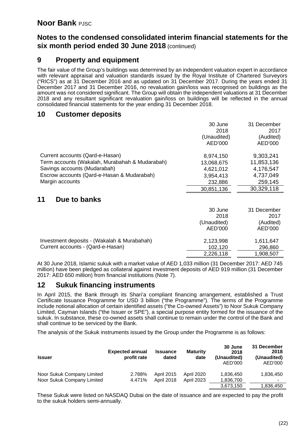# **Notes to the condensed consolidated interim financial statements for the six month period ended 30 June 2018** (continued)

## **9 Property and equipment**

The fair value of the Group's buildings was determined by an independent valuation expert in accordance with relevant appraisal and valuation standards issued by the Royal Institute of Chartered Surveyors ("RICS") as at 31 December 2016 and as updated on 31 December 2017. During the years ended 31 December 2017 and 31 December 2016, no revaluation gain/loss was recognised on buildings as the amount was not considered significant. The Group will obtain the independent valuations at 31 December 2018 and any resultant significant revaluation gain/loss on buildings will be reflected in the annual consolidated financial statements for the year ending 31 December 2018.

## **10 Customer deposits**

|                                                | 30 June     | 31 December |
|------------------------------------------------|-------------|-------------|
|                                                | 2018        | 2017        |
|                                                | (Unaudited) | (Audited)   |
|                                                | AED'000     | AED'000     |
| Current accounts (Qard-e-Hasan)                | 8,974,150   | 9,303,241   |
| Term accounts (Wakalah, Murabahah & Mudarabah) | 13,068,675  | 11,853,136  |
| Savings accounts (Mudarabah)                   | 4,621,012   | 4,176,547   |
| Escrow accounts (Qard-e-Hasan & Mudarabah)     | 3,954,413   | 4,737,049   |
| Margin accounts                                | 232,886     | 259,145     |
|                                                | 30,851,136  | 30,329,118  |

# **11 Due to banks**

|                                             | 30 June     | 31 December |
|---------------------------------------------|-------------|-------------|
|                                             | 2018        | 2017        |
|                                             | (Unaudited) | (Audited)   |
|                                             | AED'000     | AED'000     |
| Investment deposits - (Wakalah & Murabahah) | 2,123,998   | 1,611,647   |
| Current accounts - (Qard-e-Hasan)           | 102,120     | 296,860     |
|                                             | 2,226,118   | 1,908,507   |

At 30 June 2018, Islamic sukuk with a market value of AED 1,033 million (31 December 2017: AED 745 million) have been pledged as collateral against investment deposits of AED 919 million (31 December 2017: AED 650 million) from financial institutions (Note 7).

## **12 Sukuk financing instruments**

In April 2015, the Bank through its Shari'a compliant financing arrangement, established a Trust Certificate Issuance Programme for USD 3 billion ("the Programme"). The terms of the Programme include notional allocation of certain identified assets ("the Co-owned Assets") to Noor Sukuk Company Limited, Cayman Islands ("the Issuer or SPE"), a special purpose entity formed for the issuance of the sukuk. In substance, these co-owned assets shall continue to remain under the control of the Bank and shall continue to be serviced by the Bank.

The analysis of the Sukuk instruments issued by the Group under the Programme is as follows:

| <b>Issuer</b>                                            | <b>Expected annual</b><br>profit rate | <b>Issuance</b><br>dated               | <b>Maturity</b><br>date         | 30 June<br>2018<br>(Unaudited)<br>AED'000 | 31 December<br>2018<br>(Unaudited)<br>AED'000 |
|----------------------------------------------------------|---------------------------------------|----------------------------------------|---------------------------------|-------------------------------------------|-----------------------------------------------|
| Noor Sukuk Company Limited<br>Noor Sukuk Company Limited | 2.788%<br>4.471%                      | <b>April 2015</b><br><b>April 2018</b> | April 2020<br><b>April 2023</b> | 1,836,450<br>1,836,700                    | 1,836,450                                     |
|                                                          |                                       |                                        |                                 | 3,673,150                                 | 1,836,450                                     |

These Sukuk were listed on NASDAQ Dubai on the date of issuance and are expected to pay the profit to the sukuk holders semi-annually.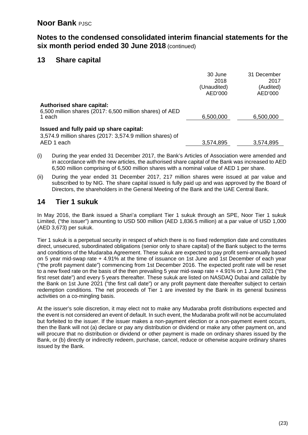# **Notes to the condensed consolidated interim financial statements for the six month period ended 30 June 2018** (continued)

# **13 Share capital**

|                                                                                                                   | 30 June<br>2018<br>(Unaudited)<br>AED'000 | 31 December<br>2017<br>(Audited)<br>AED'000 |
|-------------------------------------------------------------------------------------------------------------------|-------------------------------------------|---------------------------------------------|
| <b>Authorised share capital:</b><br>6,500 million shares (2017: 6,500 million shares) of AED<br>1 each            | 6,500,000                                 | 6,500,000                                   |
| Issued and fully paid up share capital:<br>3,574.9 million shares (2017: 3,574.9 million shares) of<br>AED 1 each | 3,574,895                                 | 3,574,895                                   |

- (i) During the year ended 31 December 2017, the Bank's Articles of Association were amended and in accordance with the new articles, the authorised share capital of the Bank was increased to AED 6,500 million comprising of 6,500 million shares with a nominal value of AED 1 per share.
- (ii) During the year ended 31 December 2017, 217 million shares were issued at par value and subscribed to by NIG. The share capital issued is fully paid up and was approved by the Board of Directors, the shareholders in the General Meeting of the Bank and the UAE Central Bank.

# **14 Tier 1 sukuk**

In May 2016, the Bank issued a Shari'a compliant Tier 1 sukuk through an SPE, Noor Tier 1 sukuk Limited, ("the issuer") amounting to USD 500 million (AED 1,836.5 million) at a par value of USD 1,000 (AED 3,673) per sukuk.

Tier 1 sukuk is a perpetual security in respect of which there is no fixed redemption date and constitutes direct, unsecured, subordinated obligations (senior only to share capital) of the Bank subject to the terms and conditions of the Mudaraba Agreement. These sukuk are expected to pay profit semi-annually based on 5 year mid-swap rate + 4.91% at the time of issuance on 1st June and 1st December of each year ("the profit payment date") commencing from 1st December 2016. The expected profit rate will be reset to a new fixed rate on the basis of the then prevailing 5 year mid-swap rate + 4.91% on 1 June 2021 ("the first reset date") and every 5 years thereafter. These sukuk are listed on NASDAQ Dubai and callable by the Bank on 1st June 2021 ("the first call date") or any profit payment date thereafter subject to certain redemption conditions. The net proceeds of Tier 1 are invested by the Bank in its general business activities on a co-mingling basis.

At the issuer's sole discretion, it may elect not to make any Mudaraba profit distributions expected and the event is not considered an event of default. In such event, the Mudaraba profit will not be accumulated but forfeited to the issuer. If the issuer makes a non-payment election or a non-payment event occurs, then the Bank will not (a) declare or pay any distribution or dividend or make any other payment on, and will procure that no distribution or dividend or other payment is made on ordinary shares issued by the Bank, or (b) directly or indirectly redeem, purchase, cancel, reduce or otherwise acquire ordinary shares issued by the Bank.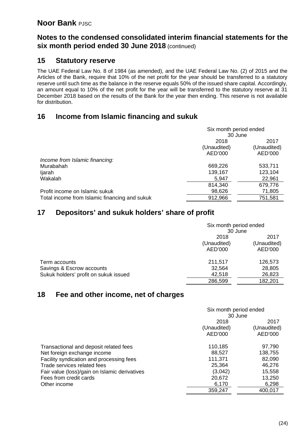# **Notes to the condensed consolidated interim financial statements for the six month period ended 30 June 2018** (continued)

## **15 Statutory reserve**

The UAE Federal Law No. 8 of 1984 (as amended), and the UAE Federal Law No. (2) of 2015 and the Articles of the Bank, require that 10% of the net profit for the year should be transferred to a statutory reserve until such time as the balance in the reserve equals 50% of the issued share capital. Accordingly, an amount equal to 10% of the net profit for the year will be transferred to the statutory reserve at 31 December 2018 based on the results of the Bank for the year then ending. This reserve is not available for distribution.

# **16 Income from Islamic financing and sukuk**

|                                               | Six month period ended<br>30 June |             |  |  |
|-----------------------------------------------|-----------------------------------|-------------|--|--|
|                                               | 2018                              |             |  |  |
|                                               | (Unaudited)                       | (Unaudited) |  |  |
|                                               | AED'000<br>AED'000                |             |  |  |
| Income from Islamic financing:                |                                   |             |  |  |
| Murabahah                                     | 669,226<br>533,711                |             |  |  |
| ljarah                                        | 139,167                           | 123,104     |  |  |
| Wakalah                                       | 5,947                             | 22,961      |  |  |
|                                               | 814,340                           | 679,776     |  |  |
| Profit income on Islamic sukuk                | 98,626                            | 71,805      |  |  |
| Total income from Islamic financing and sukuk | 912,966                           | 751,581     |  |  |

# **17 Depositors' and sukuk holders' share of profit**

|                                       | Six month period ended |             |  |
|---------------------------------------|------------------------|-------------|--|
|                                       | 30 June                |             |  |
|                                       | 2018                   | 2017        |  |
|                                       | (Unaudited)            | (Unaudited) |  |
|                                       | AED'000                | AED'000     |  |
| Term accounts                         | 211,517                | 126,573     |  |
| Savings & Escrow accounts             | 32,564                 | 28,805      |  |
| Sukuk holders' profit on sukuk issued | 42,518                 | 26,823      |  |
|                                       | 286,599                | 182,201     |  |

## **18 Fee and other income, net of charges**

|                                               |             | Six month period ended |  |  |
|-----------------------------------------------|-------------|------------------------|--|--|
|                                               |             | 30 June                |  |  |
|                                               | 2018        | 2017                   |  |  |
|                                               | (Unaudited) | (Unaudited)            |  |  |
|                                               | AED'000     | AED'000                |  |  |
| Transactional and deposit related fees        | 110,185     | 97.790                 |  |  |
| Net foreign exchange income                   | 88,527      | 138,755                |  |  |
| Facility syndication and processing fees      | 111,371     | 82,090                 |  |  |
| Trade services related fees                   | 25,364      | 46,276                 |  |  |
| Fair value (loss)/gain on Islamic derivatives | (3,042)     | 15,558                 |  |  |
| Fees from credit cards                        | 20,672      | 13,250                 |  |  |
| Other income                                  | 6,170       | 6,298                  |  |  |
|                                               | 359,247     | 400,017                |  |  |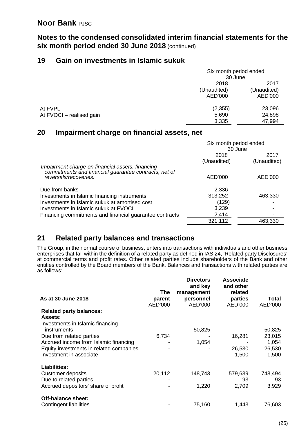**Notes to the condensed consolidated interim financial statements for the six month period ended 30 June 2018** (continued)

# **19 Gain on investments in Islamic sukuk**

|                          |             | Six month period ended |  |
|--------------------------|-------------|------------------------|--|
|                          | 30 June     |                        |  |
|                          | 2018        | 2017                   |  |
|                          | (Unaudited) | (Unaudited)            |  |
|                          | AED'000     | AED'000                |  |
| At FVPL                  | (2, 355)    | 23,096                 |  |
| At FVOCI - realised gain | 5,690       | 24,898                 |  |
|                          | 3,335       | 47,994                 |  |
|                          |             |                        |  |

# **20 Impairment charge on financial assets, net**

|                                                                                                                                    | Six month period ended<br>30 June |                     |
|------------------------------------------------------------------------------------------------------------------------------------|-----------------------------------|---------------------|
|                                                                                                                                    | 2018<br>(Unaudited)               | 2017<br>(Unaudited) |
| Impairment charge on financial assets, financing<br>commitments and financial guarantee contracts, net of<br>reversals/recoveries: | AED'000                           | AED'000             |
| Due from banks                                                                                                                     | 2,336                             |                     |
| Investments in Islamic financing instruments                                                                                       | 313,252                           | 463,330             |
| Investments in Islamic sukuk at amortised cost                                                                                     | (129)                             |                     |
| Investments in Islamic sukuk at FVOCI                                                                                              | 3,239                             |                     |
| Financing commitments and financial guarantee contracts                                                                            | 2,414                             |                     |
|                                                                                                                                    | 321,112                           | 463.330             |

# **21 Related party balances and transactions**

The Group, in the normal course of business, enters into transactions with individuals and other business enterprises that fall within the definition of a related party as defined in IAS 24, 'Related party Disclosures' at commercial terms and profit rates. Other related parties include shareholders of the Bank and other entities controlled by the Board members of the Bank. Balances and transactions with related parties are as follows:

|                                         |         | <b>Directors</b><br>and key | <b>Associate</b><br>and other |         |
|-----------------------------------------|---------|-----------------------------|-------------------------------|---------|
|                                         | The     | management                  | related                       |         |
| As at 30 June 2018                      | parent  | personnel                   | parties                       | Total   |
|                                         | AED'000 | AED'000                     | AED'000                       | AED'000 |
| <b>Related party balances:</b>          |         |                             |                               |         |
| <b>Assets:</b>                          |         |                             |                               |         |
| Investments in Islamic financing        |         |                             |                               |         |
| instruments                             |         | 50,825                      |                               | 50,825  |
| Due from related parties                | 6,734   |                             | 16,281                        | 23,015  |
| Accrued income from Islamic financing   |         | 1,054                       |                               | 1,054   |
| Equity investments in related companies |         |                             | 26,530                        | 26,530  |
| Investment in associate                 |         |                             | 1,500                         | 1,500   |
| <b>Liabilities:</b>                     |         |                             |                               |         |
| Customer deposits                       | 20,112  | 148,743                     | 579,639                       | 748,494 |
| Due to related parties                  |         |                             | 93                            | 93      |
| Accrued depositors' share of profit     |         | 1,220                       | 2,709                         | 3,929   |
| Off-balance sheet:                      |         |                             |                               |         |
| Contingent liabilities                  |         | 75,160                      | 1,443                         | 76,603  |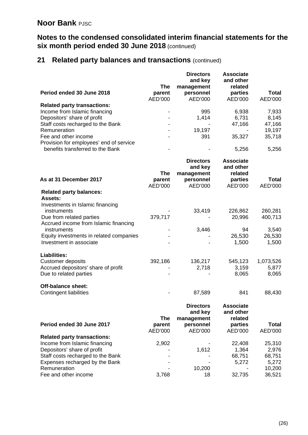# **Notes to the condensed consolidated interim financial statements for the six month period ended 30 June 2018** (continued)

# **21 Related party balances and transactions** (continued)

|                                                  |            | <b>Directors</b><br>and key | <b>Associate</b><br>and other |              |
|--------------------------------------------------|------------|-----------------------------|-------------------------------|--------------|
|                                                  | <b>The</b> | management                  | related                       |              |
| Period ended 30 June 2018                        | parent     | personnel                   | parties                       | <b>Total</b> |
|                                                  | AED'000    | AED'000                     | AED'000                       | AED'000      |
| <b>Related party transactions:</b>               |            |                             |                               |              |
| Income from Islamic financing                    |            | 995                         | 6,938                         | 7,933        |
| Depositors' share of profit                      |            | 1,414                       | 6,731                         | 8,145        |
| Staff costs recharged to the Bank                |            |                             | 47,166                        | 47,166       |
| Remuneration                                     |            | 19,197                      |                               | 19,197       |
| Fee and other income                             |            | 391                         | 35,327                        | 35,718       |
| Provision for employees' end of service          |            |                             |                               |              |
| benefits transferred to the Bank                 |            |                             | 5,256                         | 5,256        |
|                                                  |            | <b>Directors</b>            | <b>Associate</b>              |              |
|                                                  |            | and key                     | and other                     |              |
|                                                  | <b>The</b> | management                  | related                       |              |
| As at 31 December 2017                           | parent     | personnel                   | parties                       | <b>Total</b> |
|                                                  | AED'000    | AED'000                     | AED'000                       | AED'000      |
| <b>Related party balances:</b><br><b>Assets:</b> |            |                             |                               |              |
| Investments in Islamic financing                 |            |                             |                               |              |
| instruments                                      |            | 33,419                      | 226,862                       | 260,281      |
| Due from related parties                         | 379,717    |                             | 20,996                        | 400,713      |
| Accrued income from Islamic financing            |            |                             |                               |              |
| instruments                                      |            | 3,446                       | 94                            | 3,540        |
| Equity investments in related companies          |            |                             | 26,530                        | 26,530       |
| Investment in associate                          |            |                             | 1,500                         | 1,500        |
| <b>Liabilities:</b>                              |            |                             |                               |              |
| <b>Customer deposits</b>                         | 392,186    | 136,217                     | 545,123                       | 1,073,526    |
| Accrued depositors' share of profit              |            | 2,718                       | 3,159                         | 5,877        |
| Due to related parties                           |            |                             | 8,065                         | 8,065        |
| <b>Off-balance sheet:</b>                        |            |                             |                               |              |
| <b>Contingent liabilities</b>                    |            | 87,589                      | 841                           | 88,430       |
|                                                  |            | <b>Directors</b>            | <b>Associate</b>              |              |
|                                                  |            | and key                     | and other                     |              |
|                                                  | <b>The</b> | management                  | related                       |              |
| Period ended 30 June 2017                        | parent     | personnel                   | parties                       | <b>Total</b> |
|                                                  | AED'000    | AED'000                     | AED'000                       | AED'000      |
| <b>Related party transactions:</b>               |            |                             |                               |              |
| Income from Islamic financing                    | 2,902      |                             | 22,408                        | 25,310       |
| Depositors' share of profit                      |            | 1,612                       | 1,364                         | 2,976        |
| Staff costs recharged to the Bank                |            |                             | 68,751                        | 68,751       |
| Expenses recharged by the Bank                   |            |                             | 5,272                         | 5,272        |
| Remuneration                                     |            | 10,200                      |                               | 10,200       |
| Fee and other income                             | 3,768      | 18                          | 32,735                        | 36,521       |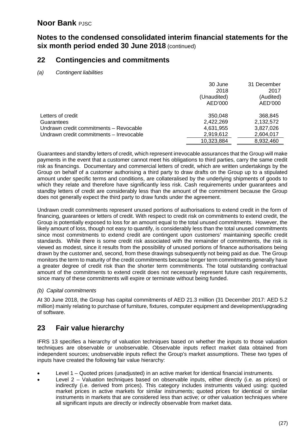# **Notes to the condensed consolidated interim financial statements for the six month period ended 30 June 2018** (continued)

## **22 Contingencies and commitments**

*(a) Contingent liabilities*

|                                          | 30 June     | 31 December |
|------------------------------------------|-------------|-------------|
|                                          | 2018        | 2017        |
|                                          | (Unaudited) | (Audited)   |
|                                          | AED'000     | AED'000     |
| Letters of credit                        | 350,048     | 368,845     |
| Guarantees                               | 2,422,269   | 2,132,572   |
| Undrawn credit commitments - Revocable   | 4,631,955   | 3,827,026   |
| Undrawn credit commitments - Irrevocable | 2,919,612   | 2,604,017   |
|                                          | 10,323,884  | 8,932,460   |

Guarantees and standby letters of credit, which represent irrevocable assurances that the Group will make payments in the event that a customer cannot meet his obligations to third parties, carry the same credit risk as financings. Documentary and commercial letters of credit, which are written undertakings by the Group on behalf of a customer authorising a third party to draw drafts on the Group up to a stipulated amount under specific terms and conditions, are collateralised by the underlying shipments of goods to which they relate and therefore have significantly less risk. Cash requirements under guarantees and standby letters of credit are considerably less than the amount of the commitment because the Group does not generally expect the third party to draw funds under the agreement.

Undrawn credit commitments represent unused portions of authorisations to extend credit in the form of financing, guarantees or letters of credit. With respect to credit risk on commitments to extend credit, the Group is potentially exposed to loss for an amount equal to the total unused commitments. However, the likely amount of loss, though not easy to quantify, is considerably less than the total unused commitments since most commitments to extend credit are contingent upon customers' maintaining specific credit standards. While there is some credit risk associated with the remainder of commitments, the risk is viewed as modest, since it results from the possibility of unused portions of finance authorisations being drawn by the customer and, second, from these drawings subsequently not being paid as due. The Group monitors the term to maturity of the credit commitments because longer term commitments generally have a greater degree of credit risk than the shorter term commitments. The total outstanding contractual amount of the commitments to extend credit does not necessarily represent future cash requirements, since many of these commitments will expire or terminate without being funded.

#### *(b) Capital commitments*

At 30 June 2018, the Group has capital commitments of AED 21.3 million (31 December 2017: AED 5.2 million) mainly relating to purchase of furniture, fixtures, computer equipment and development/upgrading of software.

# **23 Fair value hierarchy**

IFRS 13 specifies a hierarchy of valuation techniques based on whether the inputs to those valuation techniques are observable or unobservable. Observable inputs reflect market data obtained from independent sources; unobservable inputs reflect the Group's market assumptions. These two types of inputs have created the following fair value hierarchy:

- Level 1 Quoted prices (unadjusted) in an active market for identical financial instruments.
- Level 2 Valuation techniques based on observable inputs, either directly (i.e. as prices) or indirectly (i.e. derived from prices). This category includes instruments valued using: quoted market prices in active markets for similar instruments; quoted prices for identical or similar instruments in markets that are considered less than active; or other valuation techniques where all significant inputs are directly or indirectly observable from market data.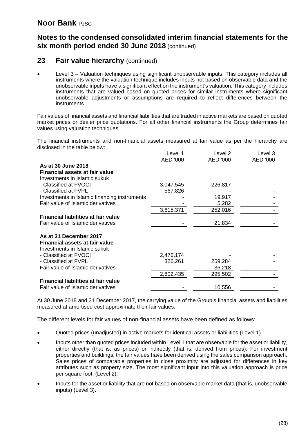## **Notes to the condensed consolidated interim financial statements for the six month period ended 30 June 2018** (continued)

## **23 Fair value hierarchy** (continued)

• Level 3 – Valuation techniques using significant unobservable inputs. This category includes all instruments where the valuation technique includes inputs not based on observable data and the unobservable inputs have a significant effect on the instrument's valuation. This category includes instruments that are valued based on quoted prices for similar instruments where significant unobservable adjustments or assumptions are required to reflect differences between the instruments.

Fair values of financial assets and financial liabilities that are traded in active markets are based on quoted market prices or dealer price quotations. For all other financial instruments the Group determines fair values using valuation techniques.

The financial instruments and non-financial assets measured at fair value as per the hierarchy are disclosed in the table below:

|                                              | Level 1   | Level 2  | Level 3  |
|----------------------------------------------|-----------|----------|----------|
|                                              | AED '000  | AED '000 | AED '000 |
| As at 30 June 2018                           |           |          |          |
| <b>Financial assets at fair value</b>        |           |          |          |
| Investments in Islamic sukuk                 |           |          |          |
| - Classified at FVOCI                        | 3,047,545 | 226,817  |          |
| - Classified at FVPL                         | 567,826   |          |          |
| Investments in Islamic financing instruments |           | 19,917   |          |
| Fair value of Islamic derivatives            |           | 5,282    |          |
|                                              | 3,615,371 | 252,016  |          |
| <b>Financial liabilities at fair value</b>   |           |          |          |
| Fair value of Islamic derivatives            |           | 21,834   |          |
|                                              |           |          |          |
| As at 31 December 2017                       |           |          |          |
| <b>Financial assets at fair value</b>        |           |          |          |
| Investments in Islamic sukuk                 |           |          |          |
| - Classified at FVOCI                        | 2,476,174 |          |          |
| - Classified at FVPL                         | 326,261   | 259,284  |          |
| Fair value of Islamic derivatives            |           | 36,218   |          |
|                                              | 2,802,435 | 295,502  |          |
| <b>Financial liabilities at fair value</b>   |           |          |          |
| Fair value of Islamic derivatives            |           | 10,556   |          |

At 30 June 2018 and 31 December 2017, the carrying value of the Group's financial assets and liabilities measured at amortised cost approximate their fair values.

The different levels for fair values of non-financial assets have been defined as follows:

- Quoted prices (unadjusted) in active markets for identical assets or liabilities (Level 1).
- Inputs other than quoted prices included within Level 1 that are observable for the asset or liability, either directly (that is, as prices) or indirectly (that is, derived from prices). For investment properties and buildings, the fair values have been derived using the sales comparison approach. Sales prices of comparable properties in close proximity are adjusted for differences in key attributes such as property size. The most significant input into this valuation approach is price per square foot. (Level 2).
- Inputs for the asset or liability that are not based on observable market data (that is, unobservable inputs) (Level 3).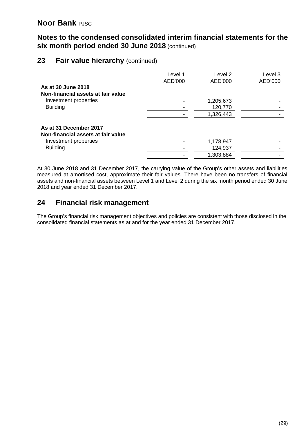# **Notes to the condensed consolidated interim financial statements for the six month period ended 30 June 2018** (continued)

## **23 Fair value hierarchy** (continued)

| As at 30 June 2018<br>Non-financial assets at fair value                                                 | Level 1<br>AED'000 | Level 2<br>AED'000                | Level 3<br>AED'000 |
|----------------------------------------------------------------------------------------------------------|--------------------|-----------------------------------|--------------------|
| Investment properties                                                                                    |                    | 1,205,673                         |                    |
| <b>Building</b>                                                                                          |                    | 120,770                           |                    |
|                                                                                                          |                    | 1,326,443                         |                    |
| As at 31 December 2017<br>Non-financial assets at fair value<br>Investment properties<br><b>Building</b> |                    | 1,178,947<br>124,937<br>1,303,884 |                    |

At 30 June 2018 and 31 December 2017, the carrying value of the Group's other assets and liabilities measured at amortised cost, approximate their fair values. There have been no transfers of financial assets and non-financial assets between Level 1 and Level 2 during the six month period ended 30 June 2018 and year ended 31 December 2017.

# **24 Financial risk management**

The Group's financial risk management objectives and policies are consistent with those disclosed in the consolidated financial statements as at and for the year ended 31 December 2017.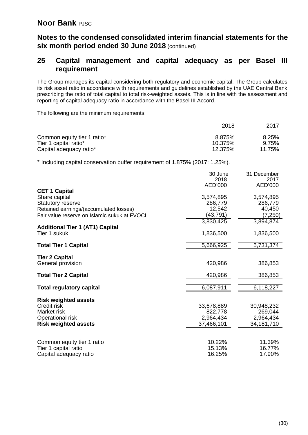## **Notes to the condensed consolidated interim financial statements for the six month period ended 30 June 2018** (continued)

## **25 Capital management and capital adequacy as per Basel III requirement**

The Group manages its capital considering both regulatory and economic capital. The Group calculates its risk asset ratio in accordance with requirements and guidelines established by the UAE Central Bank prescribing the ratio of total capital to total risk-weighted assets. This is in line with the assessment and reporting of capital adequacy ratio in accordance with the Basel III Accord.

The following are the minimum requirements:

|                             | 2018    | 2017   |
|-----------------------------|---------|--------|
| Common equity tier 1 ratio* | 8.875%  | 8.25%  |
| Tier 1 capital ratio*       | 10.375% | 9.75%  |
| Capital adequacy ratio*     | 12.375% | 11.75% |

\* Including capital conservation buffer requirement of 1.875% (2017: 1.25%).

|                                                                                                                                                      | 30 June<br>2018<br>AED'000                       | 31 December<br>2017<br>AED'000                   |
|------------------------------------------------------------------------------------------------------------------------------------------------------|--------------------------------------------------|--------------------------------------------------|
| <b>CET 1 Capital</b><br>Share capital<br>Statutory reserve<br>Retained earnings/(accumulated losses)<br>Fair value reserve on Islamic sukuk at FVOCI | 3,574,895<br>286,779<br>12,542<br>(43, 791)      | 3,574,895<br>286,779<br>40,450<br>(7, 250)       |
| <b>Additional Tier 1 (AT1) Capital</b><br>Tier 1 sukuk                                                                                               | 3,830,425<br>1,836,500                           | 3,894,874<br>1,836,500                           |
| <b>Total Tier 1 Capital</b>                                                                                                                          | 5,666,925                                        | 5,731,374                                        |
| <b>Tier 2 Capital</b><br>General provision                                                                                                           | 420,986                                          | 386,853                                          |
| <b>Total Tier 2 Capital</b>                                                                                                                          | 420,986                                          | 386,853                                          |
| <b>Total regulatory capital</b>                                                                                                                      | 6,087,911                                        | 6,118,227                                        |
| <b>Risk weighted assets</b><br>Credit risk<br>Market risk<br>Operational risk<br><b>Risk weighted assets</b>                                         | 33,678,889<br>822,778<br>2,964,434<br>37,466,101 | 30,948,232<br>269,044<br>2,964,434<br>34,181,710 |
| Common equity tier 1 ratio<br>Tier 1 capital ratio<br>Capital adequacy ratio                                                                         | 10.22%<br>15.13%<br>16.25%                       | 11.39%<br>16.77%<br>17.90%                       |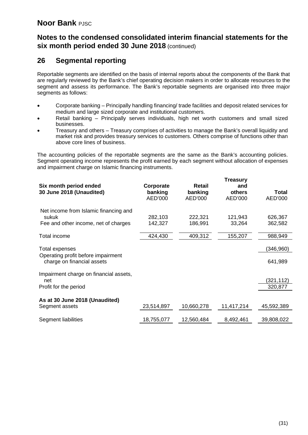# **Notes to the condensed consolidated interim financial statements for the six month period ended 30 June 2018** (continued)

# **26 Segmental reporting**

Reportable segments are identified on the basis of internal reports about the components of the Bank that are regularly reviewed by the Bank's chief operating decision makers in order to allocate resources to the segment and assess its performance. The Bank's reportable segments are organised into three major segments as follows:

- Corporate banking Principally handling financing/ trade facilities and deposit related services for medium and large sized corporate and institutional customers.
- Retail banking Principally serves individuals, high net worth customers and small sized businesses.
- Treasury and others Treasury comprises of activities to manage the Bank's overall liquidity and market risk and provides treasury services to customers. Others comprise of functions other than above core lines of business.

The accounting policies of the reportable segments are the same as the Bank's accounting policies. Segment operating income represents the profit earned by each segment without allocation of expenses and impairment charge on Islamic financing instruments.

| Six month period ended<br>30 June 2018 (Unaudited)                                     | Corporate<br>banking<br>AED'000 | Retail<br>banking<br>AED'000 | <b>Treasury</b><br>and<br>others<br>AED'000 | <b>Total</b><br>AED'000 |
|----------------------------------------------------------------------------------------|---------------------------------|------------------------------|---------------------------------------------|-------------------------|
| Net income from Islamic financing and<br>sukuk<br>Fee and other income, net of charges | 282,103<br>142,327              | 222,321<br>186,991           | 121,943<br>33,264                           | 626,367<br>362,582      |
| Total income                                                                           | 424,430                         | 409,312                      | 155,207                                     | 988,949                 |
| Total expenses<br>Operating profit before impairment<br>charge on financial assets     |                                 |                              |                                             | (346,960)<br>641,989    |
| Impairment charge on financial assets,<br>net<br>Profit for the period                 |                                 |                              |                                             | (321,112)<br>320,877    |
| As at 30 June 2018 (Unaudited)<br>Segment assets                                       | 23,514,897                      | 10,660,278                   | 11,417,214                                  | 45,592,389              |
| Segment liabilities                                                                    | 18,755,077                      | 12,560,484                   | 8,492,461                                   | 39,808,022              |